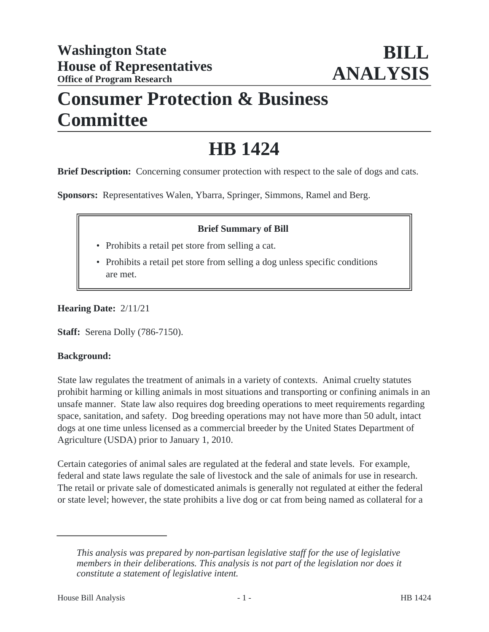## **Consumer Protection & Business Committee**

# **HB 1424**

**Brief Description:** Concerning consumer protection with respect to the sale of dogs and cats.

**Sponsors:** Representatives Walen, Ybarra, Springer, Simmons, Ramel and Berg.

### **Brief Summary of Bill**

- Prohibits a retail pet store from selling a cat.
- Prohibits a retail pet store from selling a dog unless specific conditions are met.

**Hearing Date:** 2/11/21

**Staff:** Serena Dolly (786-7150).

#### **Background:**

State law regulates the treatment of animals in a variety of contexts. Animal cruelty statutes prohibit harming or killing animals in most situations and transporting or confining animals in an unsafe manner. State law also requires dog breeding operations to meet requirements regarding space, sanitation, and safety. Dog breeding operations may not have more than 50 adult, intact dogs at one time unless licensed as a commercial breeder by the United States Department of Agriculture (USDA) prior to January 1, 2010.

Certain categories of animal sales are regulated at the federal and state levels. For example, federal and state laws regulate the sale of livestock and the sale of animals for use in research. The retail or private sale of domesticated animals is generally not regulated at either the federal or state level; however, the state prohibits a live dog or cat from being named as collateral for a

*This analysis was prepared by non-partisan legislative staff for the use of legislative members in their deliberations. This analysis is not part of the legislation nor does it constitute a statement of legislative intent.*